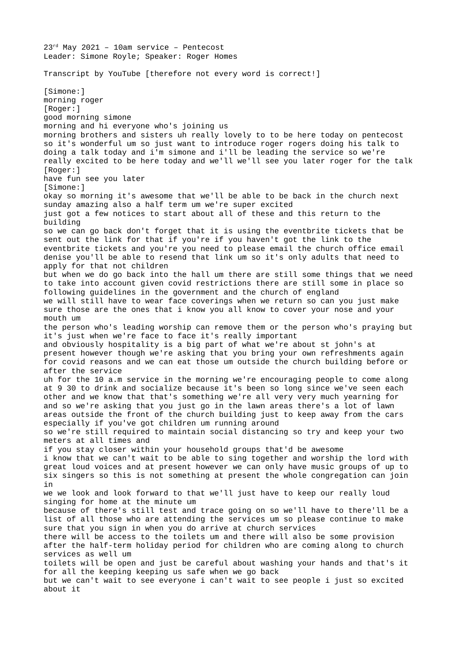23rd May 2021 – 10am service – Pentecost Leader: Simone Royle; Speaker: Roger Homes Transcript by YouTube [therefore not every word is correct!] [Simone:] morning roger [Roger:] good morning simone morning and hi everyone who's joining us morning brothers and sisters uh really lovely to to be here today on pentecost so it's wonderful um so just want to introduce roger rogers doing his talk to doing a talk today and i'm simone and i'll be leading the service so we're really excited to be here today and we'll we'll see you later roger for the talk [Roger:] have fun see you later [Simone:] okay so morning it's awesome that we'll be able to be back in the church next sunday amazing also a half term um we're super excited just got a few notices to start about all of these and this return to the building so we can go back don't forget that it is using the eventbrite tickets that be sent out the link for that if you're if you haven't got the link to the eventbrite tickets and you're you need to please email the church office email denise you'll be able to resend that link um so it's only adults that need to apply for that not children but when we do go back into the hall um there are still some things that we need to take into account given covid restrictions there are still some in place so following guidelines in the government and the church of england we will still have to wear face coverings when we return so can you just make sure those are the ones that i know you all know to cover your nose and your mouth um the person who's leading worship can remove them or the person who's praying but it's just when we're face to face it's really important and obviously hospitality is a big part of what we're about st john's at present however though we're asking that you bring your own refreshments again for covid reasons and we can eat those um outside the church building before or after the service uh for the 10 a.m service in the morning we're encouraging people to come along at 9 30 to drink and socialize because it's been so long since we've seen each other and we know that that's something we're all very very much yearning for and so we're asking that you just go in the lawn areas there's a lot of lawn areas outside the front of the church building just to keep away from the cars especially if you've got children um running around so we're still required to maintain social distancing so try and keep your two meters at all times and if you stay closer within your household groups that'd be awesome i know that we can't wait to be able to sing together and worship the lord with great loud voices and at present however we can only have music groups of up to six singers so this is not something at present the whole congregation can join in we we look and look forward to that we'll just have to keep our really loud singing for home at the minute um because of there's still test and trace going on so we'll have to there'll be a list of all those who are attending the services um so please continue to make sure that you sign in when you do arrive at church services there will be access to the toilets um and there will also be some provision after the half-term holiday period for children who are coming along to church services as well um toilets will be open and just be careful about washing your hands and that's it for all the keeping keeping us safe when we go back but we can't wait to see everyone i can't wait to see people i just so excited about it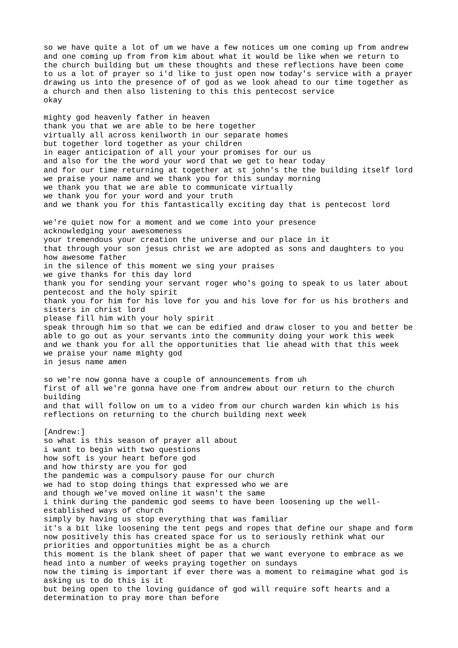so we have quite a lot of um we have a few notices um one coming up from andrew and one coming up from from kim about what it would be like when we return to the church building but um these thoughts and these reflections have been come to us a lot of prayer so i'd like to just open now today's service with a prayer drawing us into the presence of of god as we look ahead to our time together as a church and then also listening to this this pentecost service okay

mighty god heavenly father in heaven thank you that we are able to be here together virtually all across kenilworth in our separate homes but together lord together as your children in eager anticipation of all your your promises for our us and also for the the word your word that we get to hear today and for our time returning at together at st john's the the building itself lord we praise your name and we thank you for this sunday morning we thank you that we are able to communicate virtually we thank you for your word and your truth and we thank you for this fantastically exciting day that is pentecost lord we're quiet now for a moment and we come into your presence acknowledging your awesomeness your tremendous your creation the universe and our place in it that through your son jesus christ we are adopted as sons and daughters to you how awesome father in the silence of this moment we sing your praises we give thanks for this day lord thank you for sending your servant roger who's going to speak to us later about pentecost and the holy spirit thank you for him for his love for you and his love for for us his brothers and sisters in christ lord please fill him with your holy spirit speak through him so that we can be edified and draw closer to you and better be able to go out as your servants into the community doing your work this week and we thank you for all the opportunities that lie ahead with that this week we praise your name mighty god in jesus name amen so we're now gonna have a couple of announcements from uh first of all we're gonna have one from andrew about our return to the church building and that will follow on um to a video from our church warden kin which is his reflections on returning to the church building next week [Andrew:] so what is this season of prayer all about i want to begin with two questions how soft is your heart before god and how thirsty are you for god the pandemic was a compulsory pause for our church we had to stop doing things that expressed who we are and though we've moved online it wasn't the same i think during the pandemic god seems to have been loosening up the wellestablished ways of church simply by having us stop everything that was familiar it's a bit like loosening the tent pegs and ropes that define our shape and form now positively this has created space for us to seriously rethink what our priorities and opportunities might be as a church this moment is the blank sheet of paper that we want everyone to embrace as we head into a number of weeks praying together on sundays now the timing is important if ever there was a moment to reimagine what god is asking us to do this is it but being open to the loving guidance of god will require soft hearts and a determination to pray more than before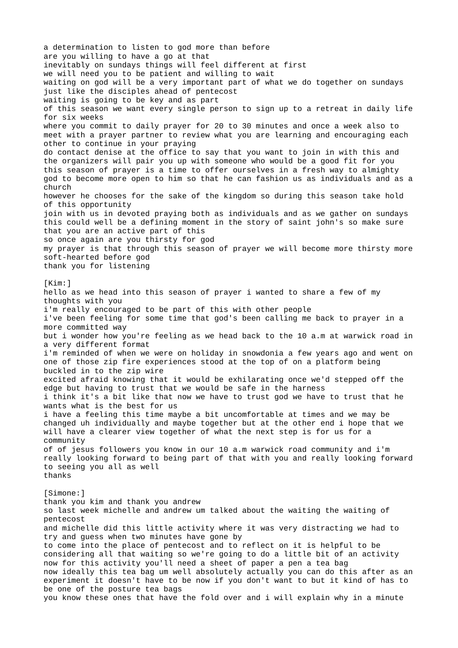a determination to listen to god more than before are you willing to have a go at that inevitably on sundays things will feel different at first we will need you to be patient and willing to wait waiting on god will be a very important part of what we do together on sundays just like the disciples ahead of pentecost waiting is going to be key and as part of this season we want every single person to sign up to a retreat in daily life for six weeks where you commit to daily prayer for 20 to 30 minutes and once a week also to meet with a prayer partner to review what you are learning and encouraging each other to continue in your praying do contact denise at the office to say that you want to join in with this and the organizers will pair you up with someone who would be a good fit for you this season of prayer is a time to offer ourselves in a fresh way to almighty god to become more open to him so that he can fashion us as individuals and as a church however he chooses for the sake of the kingdom so during this season take hold of this opportunity join with us in devoted praying both as individuals and as we gather on sundays this could well be a defining moment in the story of saint john's so make sure that you are an active part of this so once again are you thirsty for god my prayer is that through this season of prayer we will become more thirsty more soft-hearted before god thank you for listening  $Kim:$ hello as we head into this season of prayer i wanted to share a few of my thoughts with you i'm really encouraged to be part of this with other people i've been feeling for some time that god's been calling me back to prayer in a more committed way but i wonder how you're feeling as we head back to the 10 a.m at warwick road in a very different format i'm reminded of when we were on holiday in snowdonia a few years ago and went on one of those zip fire experiences stood at the top of on a platform being buckled in to the zip wire excited afraid knowing that it would be exhilarating once we'd stepped off the edge but having to trust that we would be safe in the harness i think it's a bit like that now we have to trust god we have to trust that he wants what is the best for us i have a feeling this time maybe a bit uncomfortable at times and we may be changed uh individually and maybe together but at the other end i hope that we will have a clearer view together of what the next step is for us for a community of of jesus followers you know in our 10 a.m warwick road community and i'm really looking forward to being part of that with you and really looking forward to seeing you all as well thanks [Simone:] thank you kim and thank you andrew so last week michelle and andrew um talked about the waiting the waiting of pentecost and michelle did this little activity where it was very distracting we had to try and guess when two minutes have gone by to come into the place of pentecost and to reflect on it is helpful to be considering all that waiting so we're going to do a little bit of an activity now for this activity you'll need a sheet of paper a pen a tea bag now ideally this tea bag um well absolutely actually you can do this after as an experiment it doesn't have to be now if you don't want to but it kind of has to be one of the posture tea bags you know these ones that have the fold over and i will explain why in a minute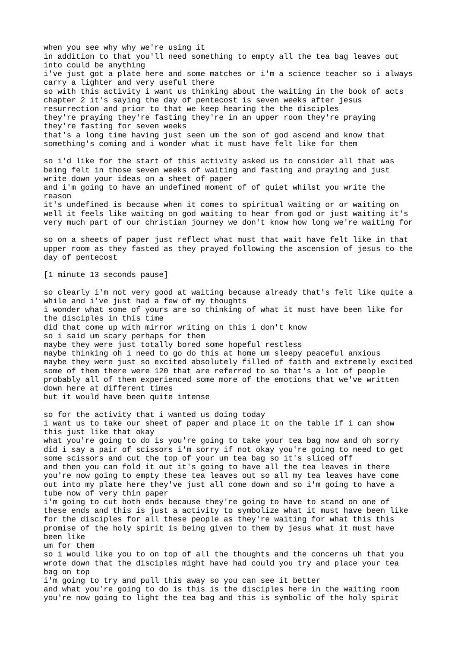when you see why why we're using it in addition to that you'll need something to empty all the tea bag leaves out into could be anything i've just got a plate here and some matches or i'm a science teacher so i always carry a lighter and very useful there so with this activity i want us thinking about the waiting in the book of acts chapter 2 it's saying the day of pentecost is seven weeks after jesus resurrection and prior to that we keep hearing the the disciples they're praying they're fasting they're in an upper room they're praying they're fasting for seven weeks that's a long time having just seen um the son of god ascend and know that something's coming and i wonder what it must have felt like for them so i'd like for the start of this activity asked us to consider all that was being felt in those seven weeks of waiting and fasting and praying and just write down your ideas on a sheet of paper and i'm going to have an undefined moment of of quiet whilst you write the reason it's undefined is because when it comes to spiritual waiting or or waiting on well it feels like waiting on god waiting to hear from god or just waiting it's very much part of our christian journey we don't know how long we're waiting for so on a sheets of paper just reflect what must that wait have felt like in that upper room as they fasted as they prayed following the ascension of jesus to the day of pentecost [1 minute 13 seconds pause] so clearly i'm not very good at waiting because already that's felt like quite a while and i've just had a few of my thoughts i wonder what some of yours are so thinking of what it must have been like for the disciples in this time did that come up with mirror writing on this i don't know so i said um scary perhaps for them maybe they were just totally bored some hopeful restless maybe thinking oh i need to go do this at home um sleepy peaceful anxious maybe they were just so excited absolutely filled of faith and extremely excited some of them there were 120 that are referred to so that's a lot of people probably all of them experienced some more of the emotions that we've written down here at different times but it would have been quite intense so for the activity that i wanted us doing today i want us to take our sheet of paper and place it on the table if i can show this just like that okay what you're going to do is you're going to take your tea bag now and oh sorry did i say a pair of scissors i'm sorry if not okay you're going to need to get some scissors and cut the top of your um tea bag so it's sliced off and then you can fold it out it's going to have all the tea leaves in there you're now going to empty these tea leaves out so all my tea leaves have come out into my plate here they've just all come down and so i'm going to have a tube now of very thin paper i'm going to cut both ends because they're going to have to stand on one of these ends and this is just a activity to symbolize what it must have been like for the disciples for all these people as they're waiting for what this this promise of the holy spirit is being given to them by jesus what it must have been like um for them so i would like you to on top of all the thoughts and the concerns uh that you wrote down that the disciples might have had could you try and place your tea bag on top i'm going to try and pull this away so you can see it better and what you're going to do is this is the disciples here in the waiting room you're now going to light the tea bag and this is symbolic of the holy spirit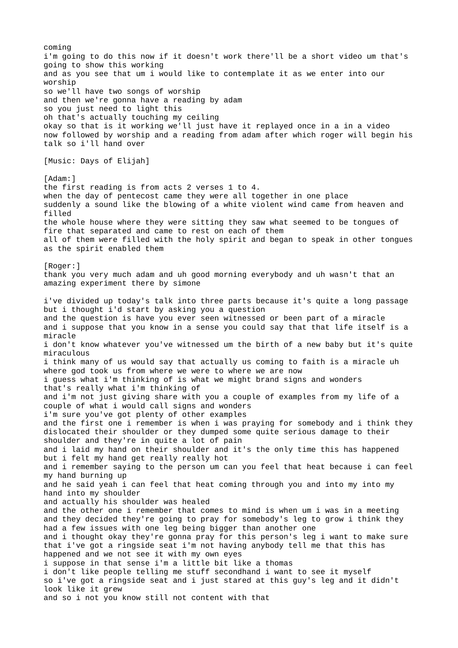coming i'm going to do this now if it doesn't work there'll be a short video um that's going to show this working and as you see that um i would like to contemplate it as we enter into our worship so we'll have two songs of worship and then we're gonna have a reading by adam so you just need to light this oh that's actually touching my ceiling okay so that is it working we'll just have it replayed once in a in a video now followed by worship and a reading from adam after which roger will begin his talk so i'll hand over [Music: Days of Elijah] [Adam:] the first reading is from acts 2 verses 1 to 4. when the day of pentecost came they were all together in one place suddenly a sound like the blowing of a white violent wind came from heaven and filled the whole house where they were sitting they saw what seemed to be tongues of fire that separated and came to rest on each of them all of them were filled with the holy spirit and began to speak in other tongues as the spirit enabled them [Roger:] thank you very much adam and uh good morning everybody and uh wasn't that an amazing experiment there by simone i've divided up today's talk into three parts because it's quite a long passage but i thought i'd start by asking you a question and the question is have you ever seen witnessed or been part of a miracle and i suppose that you know in a sense you could say that that life itself is a miracle i don't know whatever you've witnessed um the birth of a new baby but it's quite miraculous i think many of us would say that actually us coming to faith is a miracle uh where god took us from where we were to where we are now i guess what i'm thinking of is what we might brand signs and wonders that's really what i'm thinking of and i'm not just giving share with you a couple of examples from my life of a couple of what i would call signs and wonders i'm sure you've got plenty of other examples and the first one i remember is when i was praying for somebody and i think they dislocated their shoulder or they dumped some quite serious damage to their shoulder and they're in quite a lot of pain and i laid my hand on their shoulder and it's the only time this has happened but i felt my hand get really really hot and i remember saying to the person um can you feel that heat because i can feel my hand burning up and he said yeah i can feel that heat coming through you and into my into my hand into my shoulder and actually his shoulder was healed and the other one i remember that comes to mind is when um i was in a meeting and they decided they're going to pray for somebody's leg to grow i think they had a few issues with one leg being bigger than another one and i thought okay they're gonna pray for this person's leg i want to make sure that i've got a ringside seat i'm not having anybody tell me that this has happened and we not see it with my own eyes i suppose in that sense i'm a little bit like a thomas i don't like people telling me stuff secondhand i want to see it myself so i've got a ringside seat and i just stared at this guy's leg and it didn't look like it grew and so i not you know still not content with that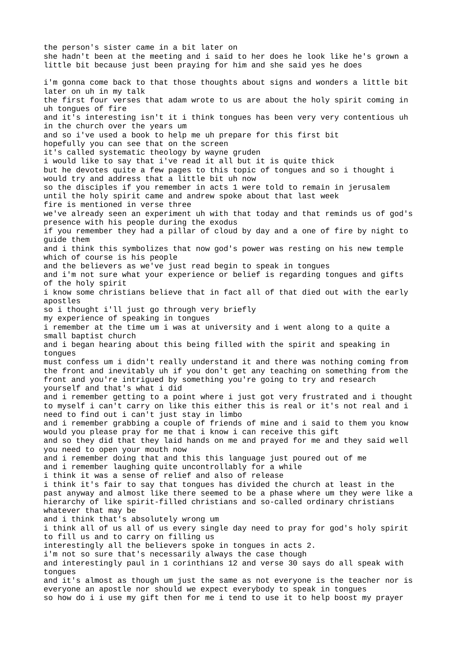the person's sister came in a bit later on she hadn't been at the meeting and i said to her does he look like he's grown a little bit because just been praying for him and she said yes he does i'm gonna come back to that those thoughts about signs and wonders a little bit later on uh in my talk the first four verses that adam wrote to us are about the holy spirit coming in uh tongues of fire and it's interesting isn't it i think tongues has been very very contentious uh in the church over the years um and so i've used a book to help me uh prepare for this first bit hopefully you can see that on the screen it's called systematic theology by wayne gruden i would like to say that i've read it all but it is quite thick but he devotes quite a few pages to this topic of tongues and so i thought i would try and address that a little bit uh now so the disciples if you remember in acts 1 were told to remain in jerusalem until the holy spirit came and andrew spoke about that last week fire is mentioned in verse three we've already seen an experiment uh with that today and that reminds us of god's presence with his people during the exodus if you remember they had a pillar of cloud by day and a one of fire by night to guide them and i think this symbolizes that now god's power was resting on his new temple which of course is his people and the believers as we've just read begin to speak in tongues and i'm not sure what your experience or belief is regarding tongues and gifts of the holy spirit i know some christians believe that in fact all of that died out with the early apostles so i thought i'll just go through very briefly my experience of speaking in tongues i remember at the time um i was at university and i went along to a quite a small baptist church and i began hearing about this being filled with the spirit and speaking in tongues must confess um i didn't really understand it and there was nothing coming from the front and inevitably uh if you don't get any teaching on something from the front and you're intrigued by something you're going to try and research yourself and that's what i did and i remember getting to a point where i just got very frustrated and i thought to myself i can't carry on like this either this is real or it's not real and i need to find out i can't just stay in limbo and i remember grabbing a couple of friends of mine and i said to them you know would you please pray for me that i know i can receive this gift and so they did that they laid hands on me and prayed for me and they said well you need to open your mouth now and i remember doing that and this this language just poured out of me and i remember laughing quite uncontrollably for a while i think it was a sense of relief and also of release i think it's fair to say that tongues has divided the church at least in the past anyway and almost like there seemed to be a phase where um they were like a hierarchy of like spirit-filled christians and so-called ordinary christians whatever that may be and i think that's absolutely wrong um i think all of us all of us every single day need to pray for god's holy spirit to fill us and to carry on filling us interestingly all the believers spoke in tongues in acts 2. i'm not so sure that's necessarily always the case though and interestingly paul in 1 corinthians 12 and verse 30 says do all speak with tongues and it's almost as though um just the same as not everyone is the teacher nor is everyone an apostle nor should we expect everybody to speak in tongues so how do i i use my gift then for me i tend to use it to help boost my prayer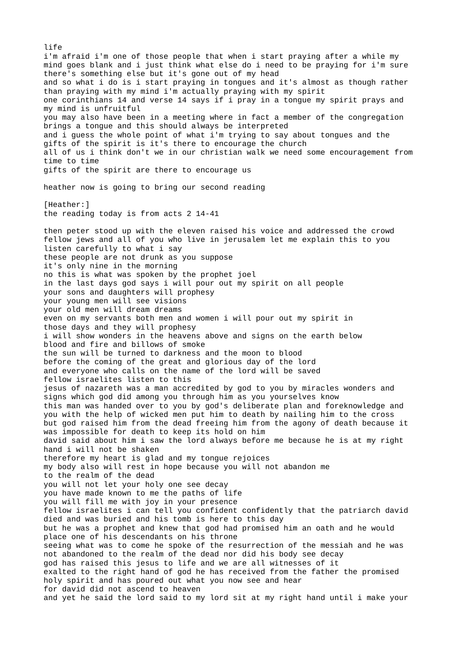life i'm afraid i'm one of those people that when i start praying after a while my mind goes blank and i just think what else do i need to be praying for i'm sure there's something else but it's gone out of my head and so what i do is i start praying in tongues and it's almost as though rather than praying with my mind i'm actually praying with my spirit one corinthians 14 and verse 14 says if i pray in a tongue my spirit prays and my mind is unfruitful you may also have been in a meeting where in fact a member of the congregation brings a tongue and this should always be interpreted and i guess the whole point of what i'm trying to say about tongues and the gifts of the spirit is it's there to encourage the church all of us i think don't we in our christian walk we need some encouragement from time to time gifts of the spirit are there to encourage us heather now is going to bring our second reading [Heather:] the reading today is from acts 2 14-41 then peter stood up with the eleven raised his voice and addressed the crowd fellow jews and all of you who live in jerusalem let me explain this to you listen carefully to what i say these people are not drunk as you suppose it's only nine in the morning no this is what was spoken by the prophet joel in the last days god says i will pour out my spirit on all people your sons and daughters will prophesy your young men will see visions your old men will dream dreams even on my servants both men and women i will pour out my spirit in those days and they will prophesy i will show wonders in the heavens above and signs on the earth below blood and fire and billows of smoke the sun will be turned to darkness and the moon to blood before the coming of the great and glorious day of the lord and everyone who calls on the name of the lord will be saved fellow israelites listen to this jesus of nazareth was a man accredited by god to you by miracles wonders and signs which god did among you through him as you yourselves know this man was handed over to you by god's deliberate plan and foreknowledge and you with the help of wicked men put him to death by nailing him to the cross but god raised him from the dead freeing him from the agony of death because it was impossible for death to keep its hold on him david said about him i saw the lord always before me because he is at my right hand i will not be shaken therefore my heart is glad and my tongue rejoices my body also will rest in hope because you will not abandon me to the realm of the dead you will not let your holy one see decay you have made known to me the paths of life you will fill me with joy in your presence fellow israelites i can tell you confident confidently that the patriarch david died and was buried and his tomb is here to this day but he was a prophet and knew that god had promised him an oath and he would place one of his descendants on his throne seeing what was to come he spoke of the resurrection of the messiah and he was not abandoned to the realm of the dead nor did his body see decay god has raised this jesus to life and we are all witnesses of it exalted to the right hand of god he has received from the father the promised holy spirit and has poured out what you now see and hear for david did not ascend to heaven and yet he said the lord said to my lord sit at my right hand until i make your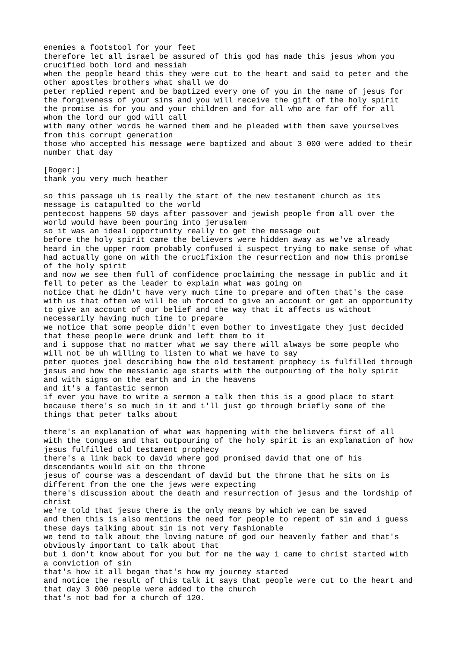enemies a footstool for your feet therefore let all israel be assured of this god has made this jesus whom you crucified both lord and messiah when the people heard this they were cut to the heart and said to peter and the other apostles brothers what shall we do peter replied repent and be baptized every one of you in the name of jesus for the forgiveness of your sins and you will receive the gift of the holy spirit the promise is for you and your children and for all who are far off for all whom the lord our god will call with many other words he warned them and he pleaded with them save yourselves from this corrupt generation those who accepted his message were baptized and about 3 000 were added to their number that day [Roger:] thank you very much heather so this passage uh is really the start of the new testament church as its message is catapulted to the world pentecost happens 50 days after passover and jewish people from all over the world would have been pouring into jerusalem so it was an ideal opportunity really to get the message out before the holy spirit came the believers were hidden away as we've already heard in the upper room probably confused i suspect trying to make sense of what had actually gone on with the crucifixion the resurrection and now this promise of the holy spirit and now we see them full of confidence proclaiming the message in public and it fell to peter as the leader to explain what was going on notice that he didn't have very much time to prepare and often that's the case with us that often we will be uh forced to give an account or get an opportunity to give an account of our belief and the way that it affects us without necessarily having much time to prepare we notice that some people didn't even bother to investigate they just decided that these people were drunk and left them to it and i suppose that no matter what we say there will always be some people who will not be uh willing to listen to what we have to say peter quotes joel describing how the old testament prophecy is fulfilled through jesus and how the messianic age starts with the outpouring of the holy spirit and with signs on the earth and in the heavens and it's a fantastic sermon if ever you have to write a sermon a talk then this is a good place to start because there's so much in it and i'll just go through briefly some of the things that peter talks about there's an explanation of what was happening with the believers first of all with the tongues and that outpouring of the holy spirit is an explanation of how jesus fulfilled old testament prophecy there's a link back to david where god promised david that one of his descendants would sit on the throne jesus of course was a descendant of david but the throne that he sits on is different from the one the jews were expecting there's discussion about the death and resurrection of jesus and the lordship of christ we're told that jesus there is the only means by which we can be saved and then this is also mentions the need for people to repent of sin and i guess these days talking about sin is not very fashionable we tend to talk about the loving nature of god our heavenly father and that's obviously important to talk about that but i don't know about for you but for me the way i came to christ started with a conviction of sin that's how it all began that's how my journey started and notice the result of this talk it says that people were cut to the heart and that day 3 000 people were added to the church that's not bad for a church of 120.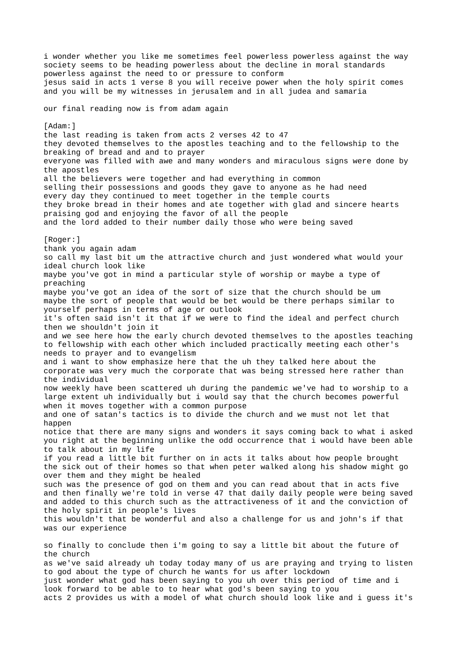i wonder whether you like me sometimes feel powerless powerless against the way society seems to be heading powerless about the decline in moral standards powerless against the need to or pressure to conform jesus said in acts 1 verse 8 you will receive power when the holy spirit comes and you will be my witnesses in jerusalem and in all judea and samaria our final reading now is from adam again [Adam:] the last reading is taken from acts 2 verses 42 to 47 they devoted themselves to the apostles teaching and to the fellowship to the breaking of bread and and to prayer everyone was filled with awe and many wonders and miraculous signs were done by the apostles all the believers were together and had everything in common selling their possessions and goods they gave to anyone as he had need every day they continued to meet together in the temple courts they broke bread in their homes and ate together with glad and sincere hearts praising god and enjoying the favor of all the people and the lord added to their number daily those who were being saved [Roger:] thank you again adam so call my last bit um the attractive church and just wondered what would your ideal church look like maybe you've got in mind a particular style of worship or maybe a type of preaching maybe you've got an idea of the sort of size that the church should be um maybe the sort of people that would be bet would be there perhaps similar to yourself perhaps in terms of age or outlook it's often said isn't it that if we were to find the ideal and perfect church then we shouldn't join it and we see here how the early church devoted themselves to the apostles teaching to fellowship with each other which included practically meeting each other's needs to prayer and to evangelism and i want to show emphasize here that the uh they talked here about the corporate was very much the corporate that was being stressed here rather than the individual now weekly have been scattered uh during the pandemic we've had to worship to a large extent uh individually but i would say that the church becomes powerful when it moves together with a common purpose and one of satan's tactics is to divide the church and we must not let that happen notice that there are many signs and wonders it says coming back to what i asked you right at the beginning unlike the odd occurrence that i would have been able to talk about in my life if you read a little bit further on in acts it talks about how people brought the sick out of their homes so that when peter walked along his shadow might go over them and they might be healed such was the presence of god on them and you can read about that in acts five and then finally we're told in verse 47 that daily daily people were being saved and added to this church such as the attractiveness of it and the conviction of the holy spirit in people's lives this wouldn't that be wonderful and also a challenge for us and john's if that was our experience so finally to conclude then i'm going to say a little bit about the future of the church as we've said already uh today today many of us are praying and trying to listen to god about the type of church he wants for us after lockdown just wonder what god has been saying to you uh over this period of time and i look forward to be able to to hear what god's been saying to you

acts 2 provides us with a model of what church should look like and i guess it's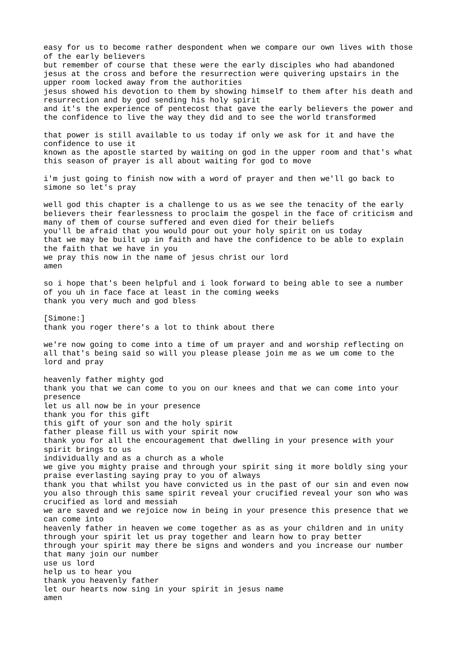easy for us to become rather despondent when we compare our own lives with those of the early believers but remember of course that these were the early disciples who had abandoned jesus at the cross and before the resurrection were quivering upstairs in the upper room locked away from the authorities jesus showed his devotion to them by showing himself to them after his death and resurrection and by god sending his holy spirit and it's the experience of pentecost that gave the early believers the power and the confidence to live the way they did and to see the world transformed that power is still available to us today if only we ask for it and have the confidence to use it known as the apostle started by waiting on god in the upper room and that's what this season of prayer is all about waiting for god to move i'm just going to finish now with a word of prayer and then we'll go back to simone so let's pray well god this chapter is a challenge to us as we see the tenacity of the early believers their fearlessness to proclaim the gospel in the face of criticism and many of them of course suffered and even died for their beliefs you'll be afraid that you would pour out your holy spirit on us today that we may be built up in faith and have the confidence to be able to explain the faith that we have in you we pray this now in the name of jesus christ our lord amen so i hope that's been helpful and i look forward to being able to see a number of you uh in face face at least in the coming weeks thank you very much and god bless [Simone:] thank you roger there's a lot to think about there we're now going to come into a time of um prayer and and worship reflecting on all that's being said so will you please please join me as we um come to the lord and pray heavenly father mighty god thank you that we can come to you on our knees and that we can come into your presence let us all now be in your presence thank you for this gift this gift of your son and the holy spirit father please fill us with your spirit now thank you for all the encouragement that dwelling in your presence with your spirit brings to us individually and as a church as a whole we give you mighty praise and through your spirit sing it more boldly sing your praise everlasting saying pray to you of always thank you that whilst you have convicted us in the past of our sin and even now you also through this same spirit reveal your crucified reveal your son who was crucified as lord and messiah we are saved and we rejoice now in being in your presence this presence that we can come into heavenly father in heaven we come together as as as your children and in unity through your spirit let us pray together and learn how to pray better through your spirit may there be signs and wonders and you increase our number that many join our number use us lord help us to hear you thank you heavenly father let our hearts now sing in your spirit in jesus name amen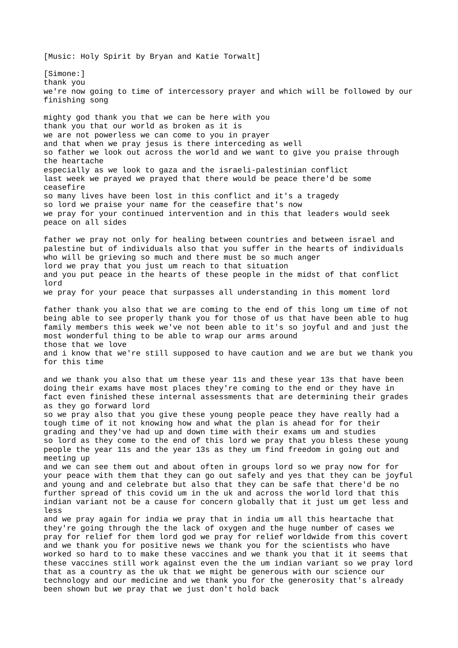[Music: Holy Spirit by Bryan and Katie Torwalt] [Simone:] thank you we're now going to time of intercessory prayer and which will be followed by our finishing song mighty god thank you that we can be here with you thank you that our world as broken as it is we are not powerless we can come to you in prayer and that when we pray jesus is there interceding as well so father we look out across the world and we want to give you praise through the heartache especially as we look to gaza and the israeli-palestinian conflict last week we prayed we prayed that there would be peace there'd be some ceasefire so many lives have been lost in this conflict and it's a tragedy so lord we praise your name for the ceasefire that's now we pray for your continued intervention and in this that leaders would seek peace on all sides father we pray not only for healing between countries and between israel and palestine but of individuals also that you suffer in the hearts of individuals who will be grieving so much and there must be so much anger lord we pray that you just um reach to that situation and you put peace in the hearts of these people in the midst of that conflict lord we pray for your peace that surpasses all understanding in this moment lord father thank you also that we are coming to the end of this long um time of not being able to see properly thank you for those of us that have been able to hug family members this week we've not been able to it's so joyful and and just the most wonderful thing to be able to wrap our arms around those that we love and i know that we're still supposed to have caution and we are but we thank you for this time and we thank you also that um these year 11s and these year 13s that have been doing their exams have most places they're coming to the end or they have in fact even finished these internal assessments that are determining their grades as they go forward lord so we pray also that you give these young people peace they have really had a tough time of it not knowing how and what the plan is ahead for for their grading and they've had up and down time with their exams um and studies so lord as they come to the end of this lord we pray that you bless these young people the year 11s and the year 13s as they um find freedom in going out and meeting up and we can see them out and about often in groups lord so we pray now for for your peace with them that they can go out safely and yes that they can be joyful and young and and celebrate but also that they can be safe that there'd be no further spread of this covid um in the uk and across the world lord that this indian variant not be a cause for concern globally that it just um get less and less and we pray again for india we pray that in india um all this heartache that they're going through the the lack of oxygen and the huge number of cases we pray for relief for them lord god we pray for relief worldwide from this covert and we thank you for positive news we thank you for the scientists who have worked so hard to to make these vaccines and we thank you that it it seems that these vaccines still work against even the the um indian variant so we pray lord that as a country as the uk that we might be generous with our science our technology and our medicine and we thank you for the generosity that's already been shown but we pray that we just don't hold back